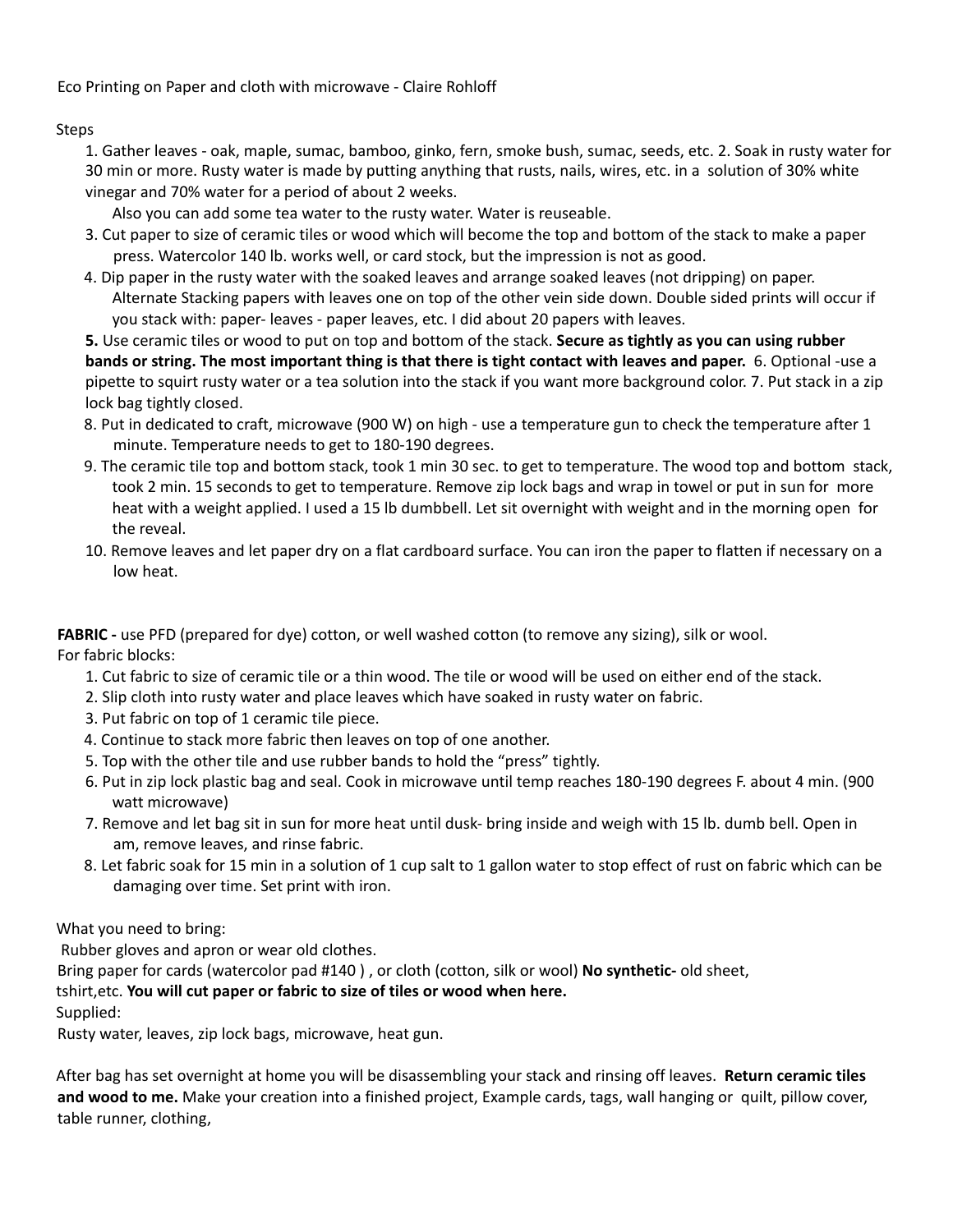Eco Printing on Paper and cloth with microwave - Claire Rohloff

## Steps

1. Gather leaves - oak, maple, sumac, bamboo, ginko, fern, smoke bush, sumac, seeds, etc. 2. Soak in rusty water for 30 min or more. Rusty water is made by putting anything that rusts, nails, wires, etc. in a solution of 30% white vinegar and 70% water for a period of about 2 weeks.

Also you can add some tea water to the rusty water. Water is reuseable.

- 3. Cut paper to size of ceramic tiles or wood which will become the top and bottom of the stack to make a paper press. Watercolor 140 lb. works well, or card stock, but the impression is not as good.
- 4. Dip paper in the rusty water with the soaked leaves and arrange soaked leaves (not dripping) on paper. Alternate Stacking papers with leaves one on top of the other vein side down. Double sided prints will occur if you stack with: paper- leaves - paper leaves, etc. I did about 20 papers with leaves.

**5.** Use ceramic tiles or wood to put on top and bottom of the stack. **Secure as tightly as you can using rubber** bands or string. The most important thing is that there is tight contact with leaves and paper. 6. Optional -use a pipette to squirt rusty water or a tea solution into the stack if you want more background color. 7. Put stack in a zip lock bag tightly closed.

- 8. Put in dedicated to craft, microwave (900 W) on high use a temperature gun to check the temperature after 1 minute. Temperature needs to get to 180-190 degrees.
- 9. The ceramic tile top and bottom stack, took 1 min 30 sec. to get to temperature. The wood top and bottom stack, took 2 min. 15 seconds to get to temperature. Remove zip lock bags and wrap in towel or put in sun for more heat with a weight applied. I used a 15 lb dumbbell. Let sit overnight with weight and in the morning open for the reveal.
- 10. Remove leaves and let paper dry on a flat cardboard surface. You can iron the paper to flatten if necessary on a low heat.

**FABRIC -** use PFD (prepared for dye) cotton, or well washed cotton (to remove any sizing), silk or wool. For fabric blocks:

- 1. Cut fabric to size of ceramic tile or a thin wood. The tile or wood will be used on either end of the stack.
- 2. Slip cloth into rusty water and place leaves which have soaked in rusty water on fabric.
- 3. Put fabric on top of 1 ceramic tile piece.
- 4. Continue to stack more fabric then leaves on top of one another.
- 5. Top with the other tile and use rubber bands to hold the "press" tightly.
- 6. Put in zip lock plastic bag and seal. Cook in microwave until temp reaches 180-190 degrees F. about 4 min. (900 watt microwave)
- 7. Remove and let bag sit in sun for more heat until dusk- bring inside and weigh with 15 lb. dumb bell. Open in am, remove leaves, and rinse fabric.
- 8. Let fabric soak for 15 min in a solution of 1 cup salt to 1 gallon water to stop effect of rust on fabric which can be damaging over time. Set print with iron.

What you need to bring:

Rubber gloves and apron or wear old clothes.

Bring paper for cards (watercolor pad #140 ) , or cloth (cotton, silk or wool) **No synthetic-** old sheet,

## tshirt,etc. **You will cut paper or fabric to size of tiles or wood when here.**

Supplied:

Rusty water, leaves, zip lock bags, microwave, heat gun.

After bag has set overnight at home you will be disassembling your stack and rinsing off leaves. **Return ceramic tiles and wood to me.** Make your creation into a finished project, Example cards, tags, wall hanging or quilt, pillow cover, table runner, clothing,